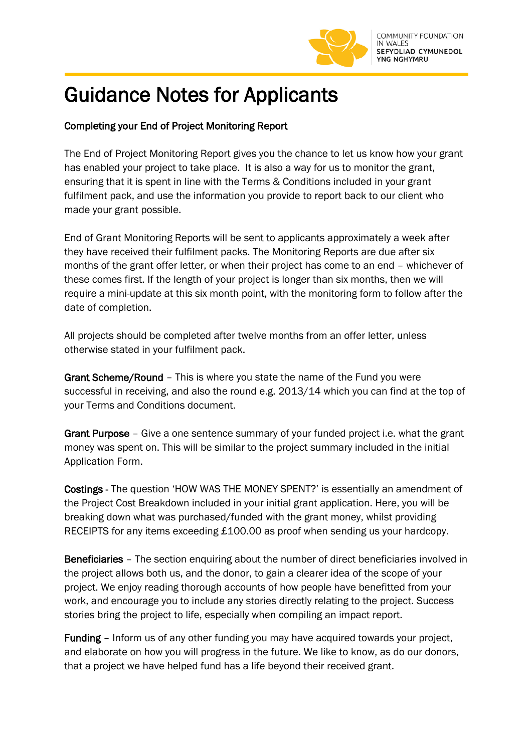

## Guidance Notes for Applicants

## Completing your End of Project Monitoring Report

The End of Project Monitoring Report gives you the chance to let us know how your grant has enabled your project to take place. It is also a way for us to monitor the grant, ensuring that it is spent in line with the Terms & Conditions included in your grant fulfilment pack, and use the information you provide to report back to our client who made your grant possible.

End of Grant Monitoring Reports will be sent to applicants approximately a week after they have received their fulfilment packs. The Monitoring Reports are due after six months of the grant offer letter, or when their project has come to an end – whichever of these comes first. If the length of your project is longer than six months, then we will require a mini-update at this six month point, with the monitoring form to follow after the date of completion.

All projects should be completed after twelve months from an offer letter, unless otherwise stated in your fulfilment pack.

Grant Scheme/Round – This is where you state the name of the Fund you were successful in receiving, and also the round e.g. 2013/14 which you can find at the top of your Terms and Conditions document.

Grant Purpose – Give a one sentence summary of your funded project i.e. what the grant money was spent on. This will be similar to the project summary included in the initial Application Form.

Costings - The question 'HOW WAS THE MONEY SPENT?' is essentially an amendment of the Project Cost Breakdown included in your initial grant application. Here, you will be breaking down what was purchased/funded with the grant money, whilst providing RECEIPTS for any items exceeding £100.00 as proof when sending us your hardcopy.

Beneficiaries – The section enquiring about the number of direct beneficiaries involved in the project allows both us, and the donor, to gain a clearer idea of the scope of your project. We enjoy reading thorough accounts of how people have benefitted from your work, and encourage you to include any stories directly relating to the project. Success stories bring the project to life, especially when compiling an impact report.

Funding – Inform us of any other funding you may have acquired towards your project, and elaborate on how you will progress in the future. We like to know, as do our donors, that a project we have helped fund has a life beyond their received grant.